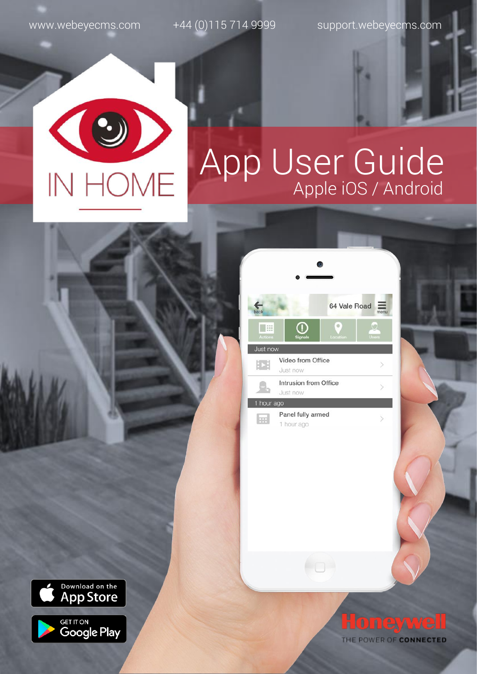www.webeyecms.com +44 (0)115 714 9999 support.webeyecms.com

O IN HOME

# [A](http://www.webeyecms.com)pp User Guide Apple iOS / Android



 $\overline{C}$ 

1 hour ago



THE POWER OF CONNECTED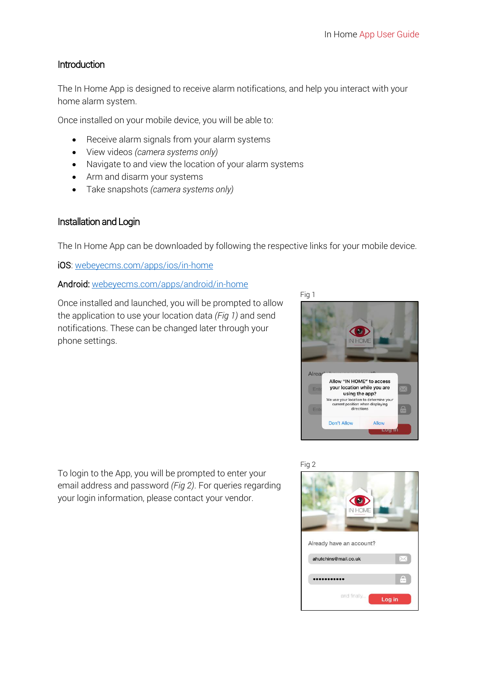# **Introduction**

The In Home App is designed to receive alarm notifications, and help you interact with your home alarm system.

Once installed on your mobile device, you will be able to:

- Receive alarm signals from your alarm systems
- View videos *(camera systems only)*
- Navigate to and view the location of your alarm systems
- Arm and disarm your systems
- Take snapshots *(camera systems only)*

# Installation and Login

The In Home App can be downloaded by following the respective links for your mobile device.

iOS[: webeyecms.com/apps/ios/in-home](http://www.webeyecms.com/apps/ios/in-home)

#### Android: [webeyecms.com/apps/android/in-home](http://www.webeyecms.com/apps/android/in-home)

Once installed and launched, you will be prompted to allow the application to use your location data *(Fig 1)* and send notifications. These can be changed later through your phone settings.



To login to the App, you will be prompted to enter your email address and password *(Fig 2)*. For queries regarding your login information, please contact your vendor.

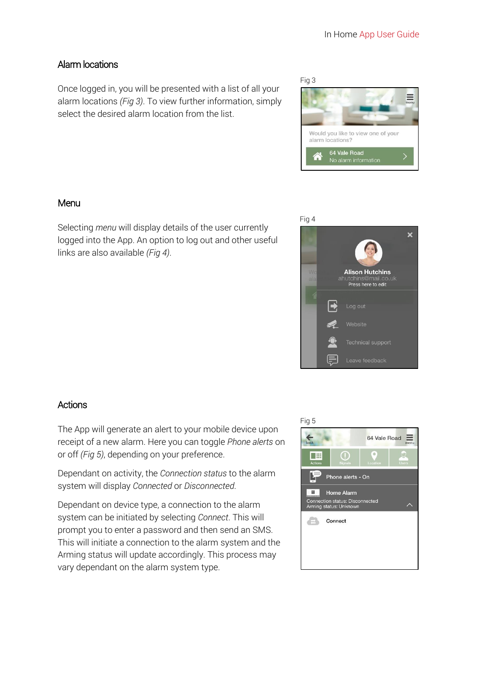# Alarm locations

Once logged in, you will be presented with a list of all your alarm locations *(Fig 3)*. To view further information, simply select the desired alarm location from the list.

#### Menu

Selecting *menu* will display details of the user currently logged into the App. An option to log out and other useful links are also available *(Fig 4)*.

#### **Actions**

The App will generate an alert to your mobile device upon receipt of a new alarm. Here you can toggle *Phone alerts* on or off *(Fig 5)*, depending on your preference.

Dependant on activity, the *Connection status* to the alarm system will display *Connected* or *Disconnected*.

Dependant on device type, a connection to the alarm system can be initiated by selecting *Connect*. This will prompt you to enter a password and then send an SMS. This will initiate a connection to the alarm system and the Arming status will update accordingly. This process may vary dependant on the alarm system type.







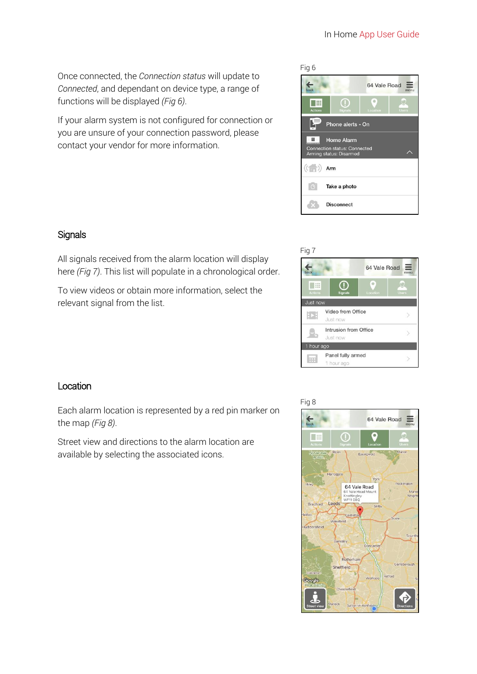Once connected, the *Connection status* will update to *Connected*, and dependant on device type, a range of functions will be displayed *(Fig 6)*.

If your alarm system is not configured for connection or you are unsure of your connection password, please contact your vendor for more information.

| Fig 6                                                                               |                   |                             |       |  |
|-------------------------------------------------------------------------------------|-------------------|-----------------------------|-------|--|
| back                                                                                |                   | 64 Vale Road<br>$=$<br>menu |       |  |
| 田田田<br><b>Actions</b>                                                               | Signals           | ö<br>Location               | Users |  |
| Phone alerts - On                                                                   |                   |                             |       |  |
| <b>Home Alarm</b><br><b>Connection status: Connected</b><br>Arming status: Disarmed |                   |                             |       |  |
| $((\begin{matrix} 1 & 1 \\ 0 & 1 \end{matrix})$ Arm                                 |                   |                             |       |  |
| $\odot$                                                                             | Take a photo      |                             |       |  |
|                                                                                     | <b>Disconnect</b> |                             |       |  |

# **Signals**

All signals received from the alarm location will display here *(Fig 7)*. This list will populate in a chronological order.

To view videos or obtain more information, select the relevant signal from the list.



### **Location**

Each alarm location is represented by a red pin marker on the map *(Fig 8)*.

Street view and directions to the alarm location are available by selecting the associated icons.